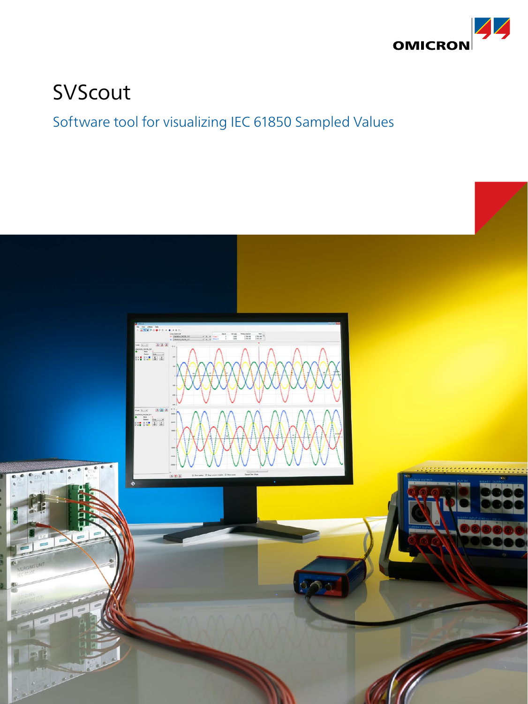

# SVScout

# Software tool for visualizing IEC 61850 Sampled Values

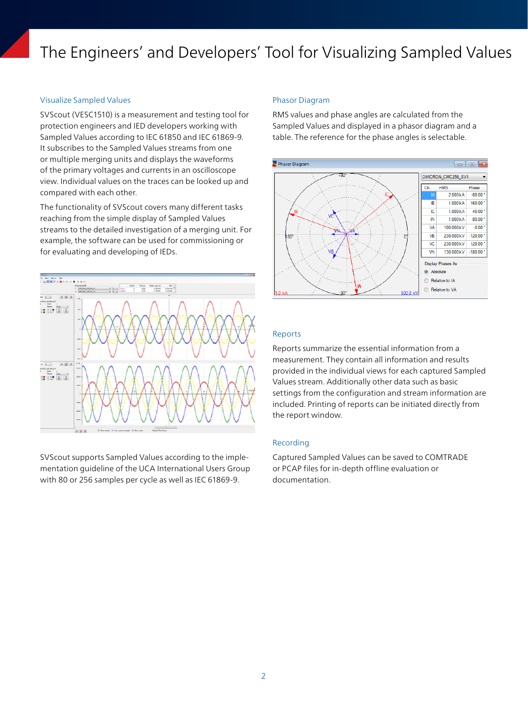# The Engineers' and Developers' Tool for Visualizing Sampled Values

# Visualize Sampled Values

SVScout (VESC1510) is a measurement and testing tool for protection engineers and IED developers working with Sampled Values according to IEC 61850 and IEC 61869-9. It subscribes to the Sampled Values streams from one or multiple merging units and displays the waveforms of the primary voltages and currents in an oscilloscope view. Individual values on the traces can be looked up and compared with each other.

The functionality of SVScout covers many different tasks reaching from the simple display of Sampled Values streams to the detailed investigation of a merging unit. For example, the software can be used for commissioning or for evaluating and developing of IEDs.



SVScout supports Sampled Values according to the implementation guideline of the UCA International Users Group with 80 or 256 samples per cycle as well as IEC 61869-9.

#### Phasor Diagram

RMS values and phase angles are calculated from the Sampled Values and displayed in a phasor diagram and a table. The reference for the phase angles is selectable.



#### Reports

Reports summarize the essential information from a measurement. They contain all information and results provided in the individual views for each captured Sampled Values stream. Additionally other data such as basic settings from the configuration and stream information are included. Printing of reports can be initiated directly from the report window.

## Recording

Captured Sampled Values can be saved to COMTRADE or PCAP files for in-depth offline evaluation or documentation.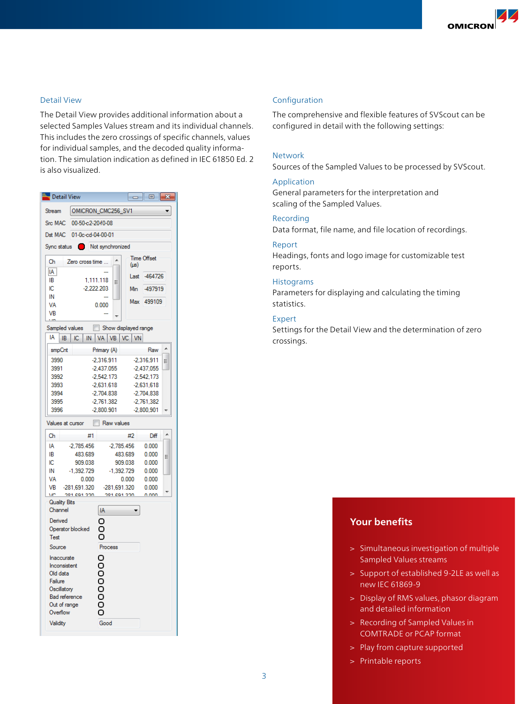# Detail View

The Detail View provides additional information about a selected Samples Values stream and its individual channels. This includes the zero crossings of specific channels, values for individual samples, and the decoded quality information. The simulation indication as defined in IEC 61850 Ed. 2 is also visualized.

| <b>Ill<sub>lag</sub></b> Detail View<br>$\Box$ 0<br>$\mathbf{x}$                            |                         |                              |                         |                              |   |
|---------------------------------------------------------------------------------------------|-------------------------|------------------------------|-------------------------|------------------------------|---|
| <b>Stream</b>                                                                               | OMICRON_CMC256_SV1      |                              |                         |                              |   |
| Src MAC                                                                                     | 00-50-c2-2040-08        |                              |                         |                              |   |
| Dst MAC<br>01-0c-cd-04-00-01                                                                |                         |                              |                         |                              |   |
| Not synchronized<br>Sync status                                                             |                         |                              |                         |                              |   |
| Ch                                                                                          | Zero cross time         |                              |                         | <b>Time Offset</b>           |   |
| $\ensuremath{\mathsf{IA}}\xspace$                                                           |                         |                              | $(\mu s)$               |                              |   |
| IB                                                                                          | 1,111.118               | Ξ                            | Last                    | $-464726$                    |   |
| IС                                                                                          | $-2.222.203$            |                              | Min                     | -497919                      |   |
| IN<br>VA                                                                                    |                         | 0.000                        |                         | Max 499109                   |   |
| VB                                                                                          |                         |                              |                         |                              |   |
|                                                                                             |                         |                              |                         |                              |   |
| Show displayed range<br>Sampled values<br>IA<br>VA  <br>$VB$ $VC$<br>IB<br>IС<br>IN  <br>VN |                         |                              |                         |                              |   |
|                                                                                             |                         |                              |                         |                              |   |
| smpCnt                                                                                      |                         | Primary (A)                  |                         | Raw                          |   |
| 3990<br>3991                                                                                |                         | $-2.316.911$<br>$-2,437.055$ |                         | $-2.316.911$<br>$-2,437,055$ | Ξ |
| 3992                                                                                        | $-2,542.173$            |                              | $-2,542,173$            |                              |   |
| 3993                                                                                        | $-2,631.618$            |                              | $-2,631,618$            |                              |   |
| 3994                                                                                        |                         | $-2,704.838$                 |                         | $-2,704,838$                 |   |
| 3995                                                                                        |                         | $-2,761.382$                 |                         | $-2,761,382$                 |   |
| 3996                                                                                        |                         | $-2,800.901$                 |                         | $-2,800,901$                 |   |
| Values at cursor<br>m<br>Raw values                                                         |                         |                              |                         |                              |   |
| Ch                                                                                          | #1                      |                              | #2                      | Diff                         |   |
| IA                                                                                          | $-2.785.456$            | $-2.785.456$                 |                         | 0.000<br>0.000               |   |
| IB                                                                                          | 483.689                 |                              | 483.689                 |                              | Ξ |
| IС<br>IN                                                                                    | 909.038<br>$-1,392.729$ |                              | 909.038<br>$-1,392.729$ |                              |   |
| VA                                                                                          | 0.000                   |                              | 0.000                   | 0.000<br>0.000               |   |
| VB                                                                                          | $-281,691.320$          | $-281,691.320$               |                         | 0.000                        |   |
|                                                                                             | MC - 201 001 220        | 201-001-220                  |                         | n nnn                        |   |
| <b>Quality Bits</b><br>Channel                                                              |                         | IA                           |                         |                              |   |
| Derived                                                                                     |                         |                              |                         |                              |   |
| Operator blocked                                                                            |                         |                              |                         |                              |   |
| Test                                                                                        |                         |                              |                         |                              |   |
| Source                                                                                      |                         | Process                      |                         |                              |   |
| Inaccurate                                                                                  |                         |                              |                         |                              |   |
| Inconsistent<br>Old data                                                                    |                         |                              |                         |                              |   |
| Failure                                                                                     |                         |                              |                         |                              |   |
| Oscillatory                                                                                 |                         | ŏooo                         |                         |                              |   |
| Bad reference                                                                               |                         |                              |                         |                              |   |
| Out of range<br>Overflow                                                                    |                         |                              |                         |                              |   |
| Good<br>Validity                                                                            |                         |                              |                         |                              |   |
|                                                                                             |                         |                              |                         |                              |   |

# Configuration

The comprehensive and flexible features of SVScout can be configured in detail with the following settings:

# Network

Sources of the Sampled Values to be processed by SVScout.

# Application

General parameters for the interpretation and scaling of the Sampled Values.

# Recording

Data format, file name, and file location of recordings.

# Report

Headings, fonts and logo image for customizable test reports.

#### Histograms

Parameters for displaying and calculating the timing statistics.

#### Expert

Settings for the Detail View and the determination of zero crossings.

# **Your benefits**

- > Simultaneous investigation of multiple Sampled Values streams
- > Support of established 9-2LE as well as new IEC 61869-9
- > Display of RMS values, phasor diagram and detailed information
- > Recording of Sampled Values in COMTRADE or PCAP format
- > Play from capture supported
- > Printable reports